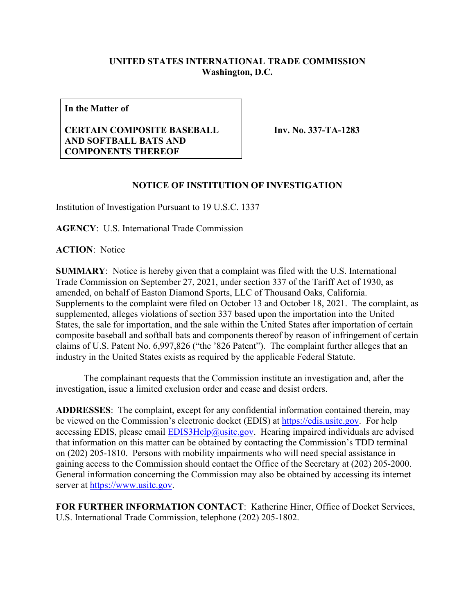## **UNITED STATES INTERNATIONAL TRADE COMMISSION Washington, D.C.**

**In the Matter of**

## **CERTAIN COMPOSITE BASEBALL AND SOFTBALL BATS AND COMPONENTS THEREOF**

**Inv. No. 337-TA-1283**

## **NOTICE OF INSTITUTION OF INVESTIGATION**

Institution of Investigation Pursuant to 19 U.S.C. 1337

**AGENCY**: U.S. International Trade Commission

**ACTION**: Notice

**SUMMARY**: Notice is hereby given that a complaint was filed with the U.S. International Trade Commission on September 27, 2021, under section 337 of the Tariff Act of 1930, as amended, on behalf of Easton Diamond Sports, LLC of Thousand Oaks, California. Supplements to the complaint were filed on October 13 and October 18, 2021. The complaint, as supplemented, alleges violations of section 337 based upon the importation into the United States, the sale for importation, and the sale within the United States after importation of certain composite baseball and softball bats and components thereof by reason of infringement of certain claims of U.S. Patent No. 6,997,826 ("the '826 Patent"). The complaint further alleges that an industry in the United States exists as required by the applicable Federal Statute.

The complainant requests that the Commission institute an investigation and, after the investigation, issue a limited exclusion order and cease and desist orders.

**ADDRESSES**: The complaint, except for any confidential information contained therein, may be viewed on the Commission's electronic docket (EDIS) at [https://edis.usitc.gov.](https://edis.usitc.gov/) For help accessing EDIS, please email  $EDIS3Help@usite.gov$ . Hearing impaired individuals are advised that information on this matter can be obtained by contacting the Commission's TDD terminal on (202) 205-1810. Persons with mobility impairments who will need special assistance in gaining access to the Commission should contact the Office of the Secretary at (202) 205-2000. General information concerning the Commission may also be obtained by accessing its internet server at [https://www.usitc.gov.](https://www.usitc.gov/)

**FOR FURTHER INFORMATION CONTACT**: Katherine Hiner, Office of Docket Services, U.S. International Trade Commission, telephone (202) 205-1802.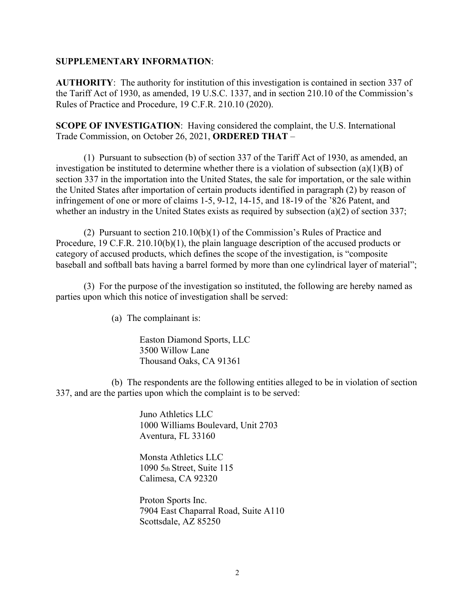## **SUPPLEMENTARY INFORMATION**:

**AUTHORITY**: The authority for institution of this investigation is contained in section 337 of the Tariff Act of 1930, as amended, 19 U.S.C. 1337, and in section 210.10 of the Commission's Rules of Practice and Procedure, 19 C.F.R. 210.10 (2020).

**SCOPE OF INVESTIGATION**: Having considered the complaint, the U.S. International Trade Commission, on October 26, 2021, **ORDERED THAT** –

(1) Pursuant to subsection (b) of section 337 of the Tariff Act of 1930, as amended, an investigation be instituted to determine whether there is a violation of subsection (a)(1)(B) of section 337 in the importation into the United States, the sale for importation, or the sale within the United States after importation of certain products identified in paragraph (2) by reason of infringement of one or more of claims 1-5, 9-12, 14-15, and 18-19 of the '826 Patent, and whether an industry in the United States exists as required by subsection (a)(2) of section 337;

(2) Pursuant to section 210.10(b)(1) of the Commission's Rules of Practice and Procedure, 19 C.F.R. 210.10(b)(1), the plain language description of the accused products or category of accused products, which defines the scope of the investigation, is "composite baseball and softball bats having a barrel formed by more than one cylindrical layer of material";

(3) For the purpose of the investigation so instituted, the following are hereby named as parties upon which this notice of investigation shall be served:

(a) The complainant is:

Easton Diamond Sports, LLC 3500 Willow Lane Thousand Oaks, CA 91361

(b) The respondents are the following entities alleged to be in violation of section 337, and are the parties upon which the complaint is to be served:

> Juno Athletics LLC 1000 Williams Boulevard, Unit 2703 Aventura, FL 33160

Monsta Athletics LLC 1090 5th Street, Suite 115 Calimesa, CA 92320

Proton Sports Inc. 7904 East Chaparral Road, Suite A110 Scottsdale, AZ 85250